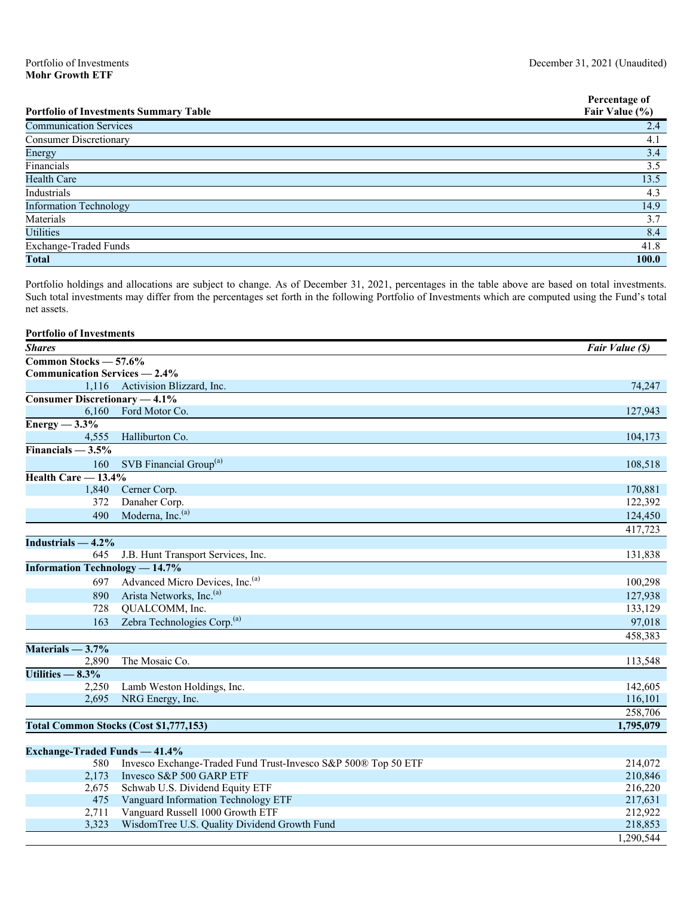|                                               | Percentage of  |
|-----------------------------------------------|----------------|
| <b>Portfolio of Investments Summary Table</b> | Fair Value (%) |
| <b>Communication Services</b>                 | 2.4            |
| <b>Consumer Discretionary</b>                 | 4.1            |
| Energy                                        | 3.4            |
| Financials                                    | 3.5            |
| <b>Health Care</b>                            | 13.5           |
| Industrials                                   | 4.3            |
| <b>Information Technology</b>                 | 14.9           |
| Materials                                     | 3.7            |
| <b>Utilities</b>                              | 8.4            |
| Exchange-Traded Funds                         | 41.8           |
| <b>Total</b>                                  | 100.0          |

Portfolio holdings and allocations are subject to change. As of December 31, 2021, percentages in the table above are based on total investments. Such total investments may differ from the percentages set forth in the following Portfolio of Investments which are computed using the Fund's total net assets.

| <b>Portfolio of Investments</b>       |                                               |                 |
|---------------------------------------|-----------------------------------------------|-----------------|
| <b>Shares</b>                         |                                               | Fair Value (\$) |
| Common Stocks - 57.6%                 |                                               |                 |
| <b>Communication Services — 2.4%</b>  |                                               |                 |
|                                       | 1,116 Activision Blizzard, Inc.               | 74,247          |
| <b>Consumer Discretionary — 4.1%</b>  |                                               |                 |
| 6,160                                 | Ford Motor Co.                                | 127,943         |
| Energy $-3.3\%$                       |                                               |                 |
| 4.555                                 | Halliburton Co.                               | 104,173         |
| Financials $-3.5%$                    |                                               |                 |
| 160                                   | SVB Financial Group <sup>(a)</sup>            | 108,518         |
| Health Care - 13.4%                   |                                               |                 |
| 1,840                                 | Cerner Corp.                                  | 170,881         |
| 372                                   | Danaher Corp.                                 | 122,392         |
| 490                                   | Moderna, Inc. <sup>(a)</sup>                  | 124,450         |
|                                       |                                               | 417,723         |
| Industrials $-4.2\%$                  |                                               |                 |
| 645                                   | J.B. Hunt Transport Services, Inc.            | 131,838         |
| <b>Information Technology - 14.7%</b> |                                               |                 |
| 697                                   | Advanced Micro Devices, Inc. <sup>(a)</sup>   | 100,298         |
| 890                                   | Arista Networks, Inc. <sup>(a)</sup>          | 127,938         |
| 728                                   | QUALCOMM, Inc.                                | 133,129         |
| 163                                   | Zebra Technologies Corp. <sup>(a)</sup>       | 97,018          |
|                                       |                                               | 458,383         |
| Materials $-3.7\%$                    |                                               |                 |
| 2,890                                 | The Mosaic Co.                                | 113,548         |
| Utilities $-8.3%$                     |                                               |                 |
| 2,250                                 | Lamb Weston Holdings, Inc.                    | 142,605         |
| 2,695                                 | NRG Energy, Inc.                              | 116,101         |
|                                       |                                               | 258,706         |
|                                       | <b>Total Common Stocks (Cost \$1,777,153)</b> | 1,795,079       |
|                                       |                                               |                 |

| Exchange-Traded Funds $-41.4\%$ |                                                                |           |
|---------------------------------|----------------------------------------------------------------|-----------|
| 580                             | Invesco Exchange-Traded Fund Trust-Invesco S&P 500® Top 50 ETF | 214,072   |
| 2.173                           | Invesco S&P 500 GARP ETF                                       | 210,846   |
|                                 | 2,675 Schwab U.S. Dividend Equity ETF                          | 216,220   |
| 475                             | Vanguard Information Technology ETF                            | 217,631   |
| 2.711                           | Vanguard Russell 1000 Growth ETF                               | 212,922   |
| 3.323                           | WisdomTree U.S. Quality Dividend Growth Fund                   | 218,853   |
|                                 |                                                                | 1,290,544 |